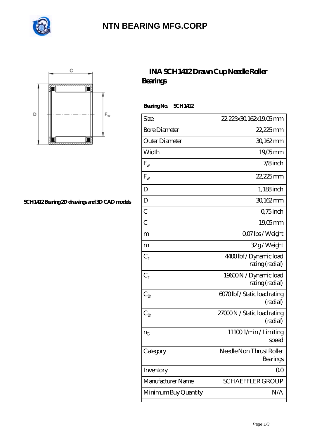

# **[NTN BEARING MFG.CORP](https://jummer-maschimenbau.de)**



#### **[SCH1412 Bearing 2D drawings and 3D CAD models](https://jummer-maschimenbau.de/pic-311939.html)**

### **[INA SCH1412 Drawn Cup Needle Roller](https://jummer-maschimenbau.de/ar-311939-ina-sch1412-drawn-cup-needle-roller-bearings.html) [Bearings](https://jummer-maschimenbau.de/ar-311939-ina-sch1412-drawn-cup-needle-roller-bearings.html)**

 **Bearing No. SCH1412**

| Size                 | 22, 225x30.162x19.05mm                   |
|----------------------|------------------------------------------|
| <b>Bore Diameter</b> | 22,225mm                                 |
| Outer Diameter       | 30,162mm                                 |
| Width                | $19,05$ mm                               |
| $F_{w}$              | $7/8$ inch                               |
| $F_{w}$              | 22,225mm                                 |
| D                    | $1,188$ inch                             |
| D                    | 30,162mm                                 |
| C                    | Q75 inch                                 |
| $\overline{C}$       | $19,05$ mm                               |
| m                    | Q07 lbs/Weight                           |
| m                    | 32g/Weight                               |
| $C_r$                | 4400lbf/Dynamic load<br>rating (radial)  |
| $C_{r}$              | 19600N / Dynamic load<br>rating (radial) |
| $C_{\alpha}$         | 6070lbf / Static load rating<br>(radial) |
| $C_{\alpha}$         | 27000N / Static load rating<br>(radial)  |
| $n_G$                | 111001/min/Limiting<br>speed             |
| Category             | Needle Non Thrust Roller<br>Bearings     |
| Inventory            | QO                                       |
| Manufacturer Name    | <b>SCHAEFFLER GROUP</b>                  |
| Minimum Buy Quantity | N/A                                      |
|                      |                                          |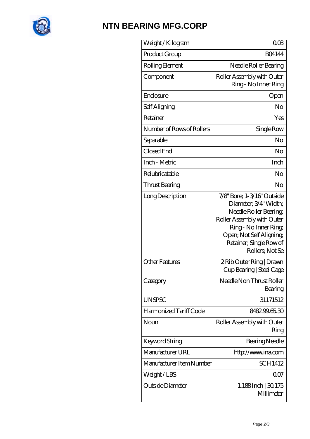

# **[NTN BEARING MFG.CORP](https://jummer-maschimenbau.de)**

| Weight /Kilogram          | $00\Omega$                                                                                                                                                                                                  |
|---------------------------|-------------------------------------------------------------------------------------------------------------------------------------------------------------------------------------------------------------|
| Product Group             | <b>BO4144</b>                                                                                                                                                                                               |
| Rolling Element           | Needle Roller Bearing                                                                                                                                                                                       |
| Component                 | Roller Assembly with Outer<br>Ring - No Inner Ring                                                                                                                                                          |
| Enclosure                 | Open                                                                                                                                                                                                        |
| Self Aligning             | No                                                                                                                                                                                                          |
| Retainer                  | Yes                                                                                                                                                                                                         |
| Number of Rows of Rollers | Single Row                                                                                                                                                                                                  |
| Separable                 | No                                                                                                                                                                                                          |
| Closed End                | No                                                                                                                                                                                                          |
| Inch - Metric             | Inch                                                                                                                                                                                                        |
| Relubricatable            | No                                                                                                                                                                                                          |
| Thrust Bearing            | No                                                                                                                                                                                                          |
| Long Description          | 7/8" Bore; 1-3/16" Outside<br>Diameter; 3/4" Width;<br>Needle Roller Bearing<br>Roller Assembly with Outer<br>Ring - No Inner Ring<br>Open; Not Self Aligning<br>Retainer; Single Row of<br>Rollers, Not Se |
| <b>Other Features</b>     | 2 Rib Outer Ring   Drawn<br>Cup Bearing   Steel Cage                                                                                                                                                        |
| Category                  | Needle Non Thrust Roller<br>Bearing                                                                                                                                                                         |
| <b>UNSPSC</b>             | 31171512                                                                                                                                                                                                    |
| Harmonized Tariff Code    | 848299.65.30                                                                                                                                                                                                |
| Noun                      | Roller Assembly with Outer<br>Ring                                                                                                                                                                          |
| Keyword String            | <b>Bearing Needle</b>                                                                                                                                                                                       |
| Manufacturer URL          | http://www.ina.com                                                                                                                                                                                          |
| Manufacturer Item Number  | SCH1412                                                                                                                                                                                                     |
| Weight/LBS                | 007                                                                                                                                                                                                         |
| Outside Diameter          | 1.188Inch   30.175<br>Millimeter                                                                                                                                                                            |
|                           |                                                                                                                                                                                                             |